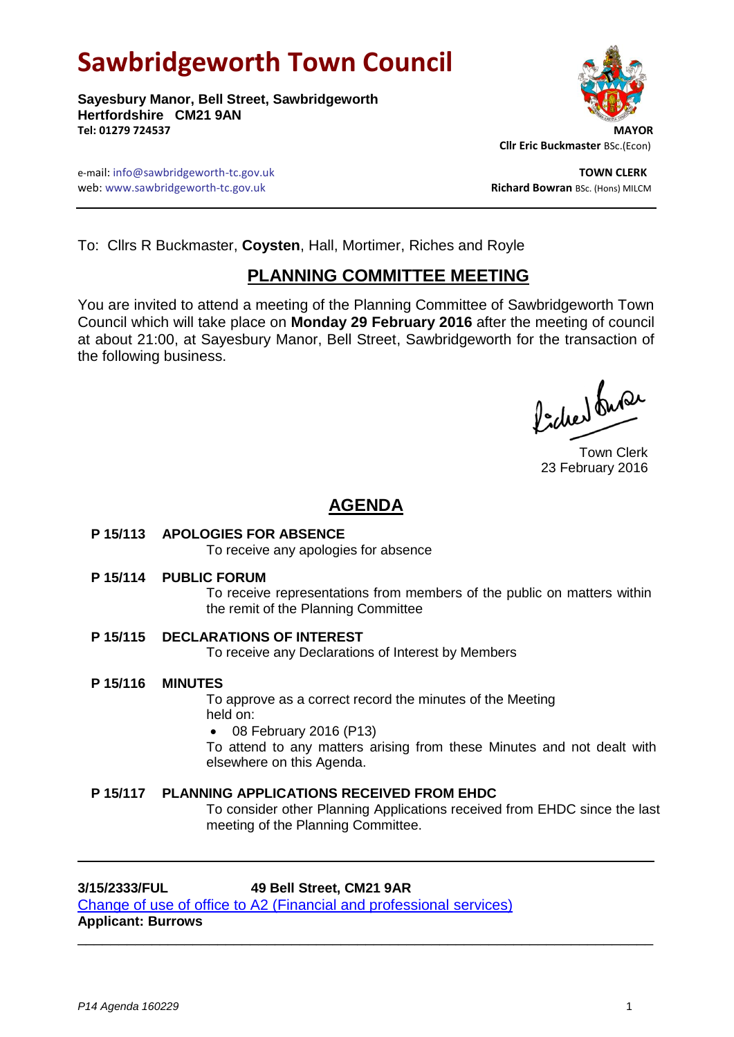# **Sawbridgeworth Town Council**

**Sayesbury Manor, Bell Street, Sawbridgeworth Hertfordshire CM21 9AN Tel: 01279 724537 MAYOR**



 **Cllr Eric Buckmaster** BSc.(Econ)

e-mail: info@sawbridgeworth-tc.gov.uk **TOWN CLERK** web: www.sawbridgeworth-tc.gov.uk **Richard Bowran** BSc. (Hons) MILCM

To: Cllrs R Buckmaster, **Coysten**, Hall, Mortimer, Riches and Royle

# **PLANNING COMMITTEE MEETING**

You are invited to attend a meeting of the Planning Committee of Sawbridgeworth Town Council which will take place on **Monday 29 February 2016** after the meeting of council at about 21:00, at Sayesbury Manor, Bell Street, Sawbridgeworth for the transaction of the following business.

Poches buse

Town Clerk 23 February 2016

# **AGENDA**

# **P 15/113 APOLOGIES FOR ABSENCE**

To receive any apologies for absence

#### **P 15/114 PUBLIC FORUM**

To receive representations from members of the public on matters within the remit of the Planning Committee

# **P 15/115 DECLARATIONS OF INTEREST**

To receive any Declarations of Interest by Members

\_\_\_\_\_\_\_\_\_\_\_\_\_\_\_\_\_\_\_\_\_\_\_\_\_\_\_\_\_\_\_\_\_\_\_\_\_\_\_\_\_\_\_\_\_\_\_\_\_\_\_\_\_\_\_\_\_\_\_\_\_\_\_\_\_\_\_\_\_\_

**P 15/116 MINUTES**

To approve as a correct record the minutes of the Meeting held on:

08 February 2016 (P13)

To attend to any matters arising from these Minutes and not dealt with elsewhere on this Agenda.

# **P 15/117 PLANNING APPLICATIONS RECEIVED FROM EHDC**

To consider other Planning Applications received from EHDC since the last meeting of the Planning Committee.

# **3/15/2333/FUL 49 Bell Street, CM21 9AR**

[Change of use of office to A2 \(Financial and professional](https://publicaccess.eastherts.gov.uk/online-applications/applicationDetails.do?activeTab=summary&keyVal=NY9Z4VGLHP800) services) **Applicant: Burrows**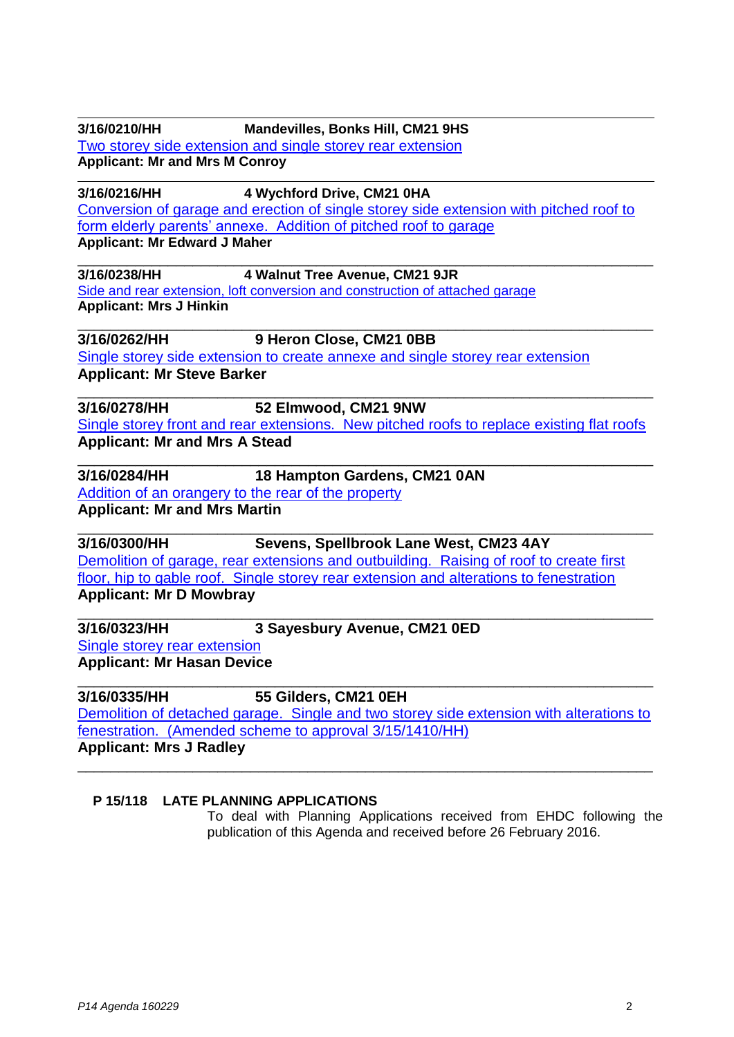| 3/16/0210/HH                          | <b>Mandevilles, Bonks Hill, CM21 9HS</b>                                                  |
|---------------------------------------|-------------------------------------------------------------------------------------------|
|                                       | Two storey side extension and single storey rear extension                                |
| <b>Applicant: Mr and Mrs M Conroy</b> |                                                                                           |
| 3/16/0216/HH                          | 4 Wychford Drive, CM21 0HA                                                                |
|                                       | Conversion of garage and erection of single storey side extension with pitched roof to    |
|                                       | form elderly parents' annexe. Addition of pitched roof to garage                          |
| <b>Applicant: Mr Edward J Maher</b>   |                                                                                           |
| 3/16/0238/HH                          | 4 Walnut Tree Avenue, CM21 9JR                                                            |
|                                       | Side and rear extension, loft conversion and construction of attached garage              |
| <b>Applicant: Mrs J Hinkin</b>        |                                                                                           |
| 3/16/0262/HH                          | 9 Heron Close, CM21 0BB                                                                   |
|                                       | Single storey side extension to create annexe and single storey rear extension            |
| <b>Applicant: Mr Steve Barker</b>     |                                                                                           |
| 3/16/0278/HH                          | 52 Elmwood, CM21 9NW                                                                      |
|                                       | Single storey front and rear extensions. New pitched roofs to replace existing flat roofs |
| <b>Applicant: Mr and Mrs A Stead</b>  |                                                                                           |
| 3/16/0284/HH                          | 18 Hampton Gardens, CM21 0AN                                                              |
|                                       | Addition of an orangery to the rear of the property                                       |
| <b>Applicant: Mr and Mrs Martin</b>   |                                                                                           |
| 3/16/0300/HH                          | Sevens, Spellbrook Lane West, CM23 4AY                                                    |
|                                       | Demolition of garage, rear extensions and outbuilding. Raising of roof to create first    |
|                                       | floor, hip to gable roof. Single storey rear extension and alterations to fenestration    |
| <b>Applicant: Mr D Mowbray</b>        |                                                                                           |
| 3/16/0323/HH                          | 3 Sayesbury Avenue, CM21 0ED                                                              |
| Single storey rear extension          |                                                                                           |
| <b>Applicant: Mr Hasan Device</b>     |                                                                                           |
| 3/16/0335/HH                          | 55 Gilders, CM21 0EH                                                                      |
|                                       | Demolition of detached garage. Single and two storey side extension with alterations to   |
|                                       | fenestration. (Amended scheme to approval 3/15/1410/HH)                                   |
| <b>Applicant: Mrs J Radley</b>        |                                                                                           |
|                                       |                                                                                           |

#### **P 15/118 LATE PLANNING APPLICATIONS**

To deal with Planning Applications received from EHDC following the publication of this Agenda and received before 26 February 2016.